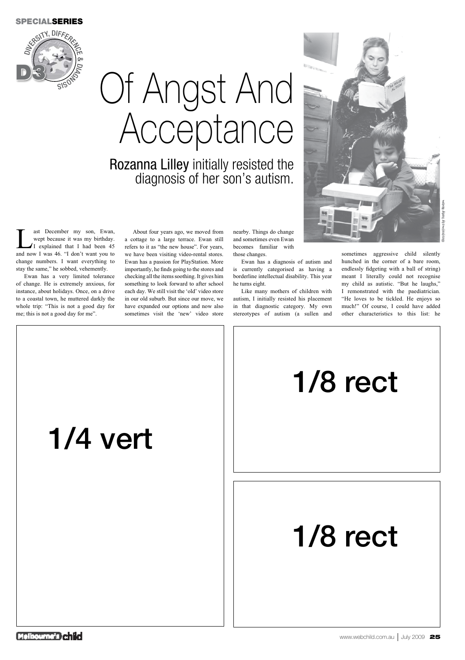#### **SPECIALSERIES**



### 1/4 vert





www.webchild.com.au July 2009 25

# 1/8 rect

ast December my son, Ewan,<br>
wept because it was my birthday.<br>
I explained that I had been 45<br>
and now I was 46 "I don't want you to wept because it was my birthday. and now I was 46. "I don't want you to change numbers. I want everything to stay the same," he sobbed, vehemently.

Ewan has a very limited tolerance of change. He is extremely anxious, for instance, about holidays. Once, on a drive to a coastal town, he muttered darkly the whole trip: "This is not a good day for me; this is not a good day for me".

## Of Angst And Acceptance

Rozanna Lilley initially resisted the diagnosis of her son's autism.

About four years ago, we moved from a cottage to a large terrace. Ewan still refers to it as "the new house". For years, we have been visiting video-rental stores. Ewan has a passion for PlayStation. More importantly, he finds going to the stores and checking all the items soothing. It gives him something to look forward to after school each day. We still visit the 'old' video store in our old suburb. But since our move, we have expanded our options and now also sometimes visit the 'new' video store nearby. Things do change and sometimes even Ewan becomes familiar with those changes.

Ewan has a diagnosis of autism and is currently categorised as having a borderline intellectual disability. This year he turns eight.

Like many mothers of children with autism, I initially resisted his placement in that diagnostic category. My own stereotypes of autism (a sullen and

sometimes aggressive child silently hunched in the corner of a bare room, endlessly fidgeting with a ball of string) meant I literally could not recognise my child as autistic. "But he laughs," I remonstrated with the paediatrician. "He loves to be tickled. He enjoys so much!" Of course, I could have added other characteristics to this list: he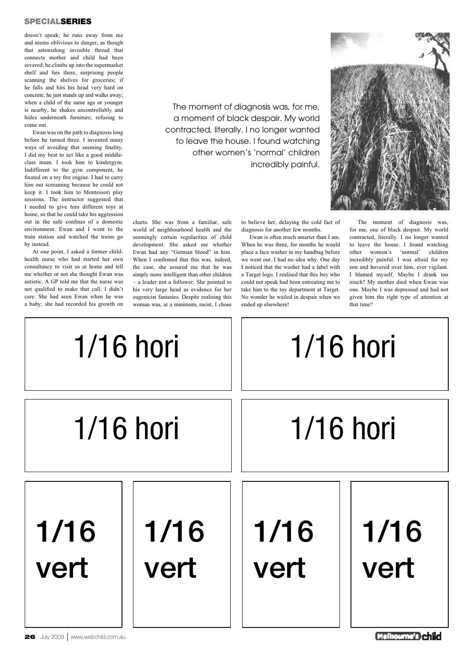







#### **SPECIALSERIES**

doesn't speak; he runs away from me and seems oblivious to danger, as though that astonishing invisible thread that connects mother and child had been severed; he climbs up into the supermarket shelf and lies there, surprising people scanning the shelves for groceries; if he falls and hits his head very hard on concrete, he just stands up and walks away; when a child of the same age or younger is nearby, he shakes uncontrollably and hides underneath furniture, refusing to come out.

Ewan was on the path to diagnosis long before he turned three. I invented many ways of avoiding that seeming finality. I did my best to act like a good middleclass mum. I took him to kindergym. Indifferent to the gym component, he fixated on a toy fire engine. I had to carry him out screaming because he could not keep it. I took him to Montessori play sessions. The instructor suggested that I needed to give him different toys at home, so that he could take his aggression out in the safe confines of a domestic environment. Ewan and I went to the train station and watched the trains go by instead.

At one point, I asked a former childhealth nurse who had started her own consultancy to visit us at home and tell me whether or not she thought Ewan was autistic. A GP told me that the nurse was not qualified to make that call. I didn't care. She had seen Ewan when he was a baby; she had recorded his growth on

The moment of diagnosis was, for me, a moment of black despair. My world contracted, literally. I no longer wanted to leave the house. I found watching other women's 'normal' children incredibly painful.

charts. She was from a familiar, safe world of neighbourhood health and the seemingly certain regularities of child development. She asked me whether Ewan had any "German blood" in him. When I confirmed that this was, indeed, the case, she assured me that he was simply more intelligent than other children – a leader not a follower. She pointed to his very large head as evidence for her eugenicist fantasies. Despite realising this woman was, at a minimum, racist, I chose

to believe her, delaying the cold fact of diagnosis for another few months.

Ewan is often much smarter than I am. When he was three, for months he would place a face washer in my handbag before we went out. I had no idea why. One day I noticed that the washer had a label with a Target logo. I realised that this boy who could not speak had been entreating me to take him to the toy department at Target. No wonder he wailed in despair when we ended up elsewhere!

The moment of diagnosis was, for me, one of black despair. My world contracted, literally. I no longer wanted to leave the house. I found watching other women's 'normal' children incredibly painful. I was afraid for my son and hovered over him, ever vigilant. I blamed myself. Maybe I drank too much? My mother died when Ewan was one. Maybe I was depressed and had not given him the right type of attention at that time?